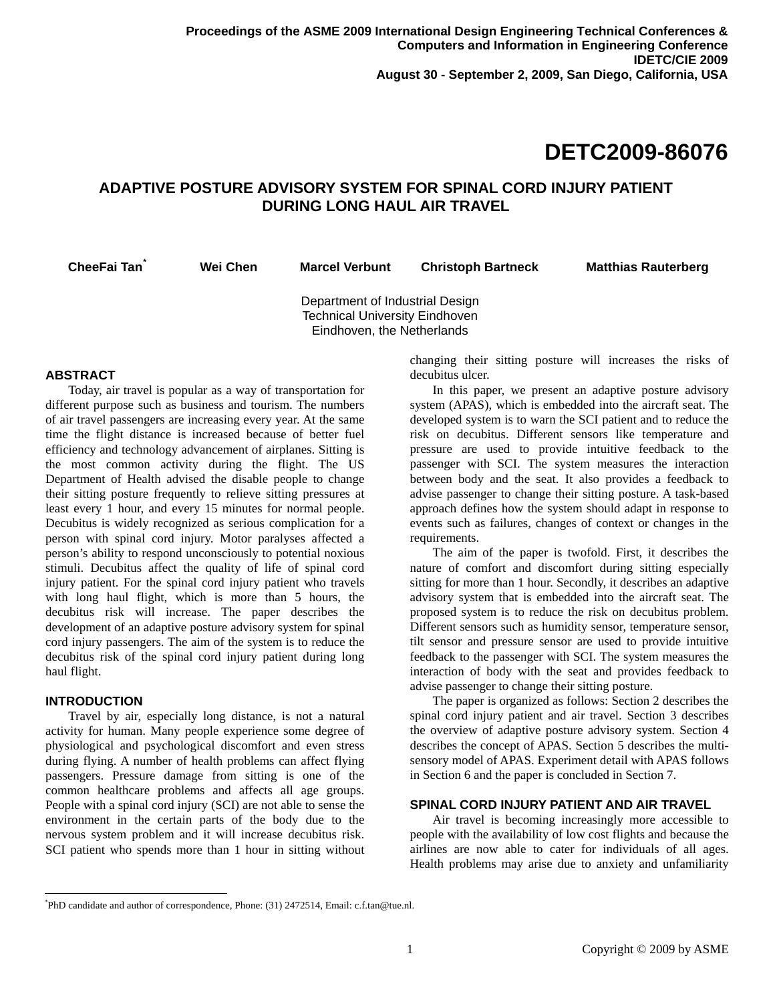# **DETC2009-86076**

# **ADAPTIVE POSTURE ADVISORY SYSTEM FOR SPINAL CORD INJURY PATIENT DURING LONG HAUL AIR TRAVEL**

**CheeFai Tan[\\*](#page-0-0)**

**Wei Chen Marcel Verbunt Christoph Bartneck Matthias Rauterberg** 

Department of Industrial Design Technical University Eindhoven Eindhoven, the Netherlands

# **ABSTRACT**

Today, air travel is popular as a way of transportation for different purpose such as business and tourism. The numbers of air travel passengers are increasing every year. At the same time the flight distance is increased because of better fuel efficiency and technology advancement of airplanes. Sitting is the most common activity during the flight. The US Department of Health advised the disable people to change their sitting posture frequently to relieve sitting pressures at least every 1 hour, and every 15 minutes for normal people. Decubitus is widely recognized as serious complication for a person with spinal cord injury. Motor paralyses affected a person's ability to respond unconsciously to potential noxious stimuli. Decubitus affect the quality of life of spinal cord injury patient. For the spinal cord injury patient who travels with long haul flight, which is more than 5 hours, the decubitus risk will increase. The paper describes the development of an adaptive posture advisory system for spinal cord injury passengers. The aim of the system is to reduce the decubitus risk of the spinal cord injury patient during long haul flight.

## **INTRODUCTION**

-

Travel by air, especially long distance, is not a natural activity for human. Many people experience some degree of physiological and psychological discomfort and even stress during flying. A number of health problems can affect flying passengers. Pressure damage from sitting is one of the common healthcare problems and affects all age groups. People with a spinal cord injury (SCI) are not able to sense the environment in the certain parts of the body due to the nervous system problem and it will increase decubitus risk. SCI patient who spends more than 1 hour in sitting without changing their sitting posture will increases the risks of decubitus ulcer.

In this paper, we present an adaptive posture advisory system (APAS), which is embedded into the aircraft seat. The developed system is to warn the SCI patient and to reduce the risk on decubitus. Different sensors like temperature and pressure are used to provide intuitive feedback to the passenger with SCI. The system measures the interaction between body and the seat. It also provides a feedback to advise passenger to change their sitting posture. A task-based approach defines how the system should adapt in response to events such as failures, changes of context or changes in the requirements.

The aim of the paper is twofold. First, it describes the nature of comfort and discomfort during sitting especially sitting for more than 1 hour. Secondly, it describes an adaptive advisory system that is embedded into the aircraft seat. The proposed system is to reduce the risk on decubitus problem. Different sensors such as humidity sensor, temperature sensor, tilt sensor and pressure sensor are used to provide intuitive feedback to the passenger with SCI. The system measures the interaction of body with the seat and provides feedback to advise passenger to change their sitting posture.

The paper is organized as follows: Section 2 describes the spinal cord injury patient and air travel. Section 3 describes the overview of adaptive posture advisory system. Section 4 describes the concept of APAS. Section 5 describes the multisensory model of APAS. Experiment detail with APAS follows in Section 6 and the paper is concluded in Section 7.

# **SPINAL CORD INJURY PATIENT AND AIR TRAVEL**

Air travel is becoming increasingly more accessible to people with the availability of low cost flights and because the airlines are now able to cater for individuals of all ages. Health problems may arise due to anxiety and unfamiliarity

<span id="page-0-0"></span><sup>\*</sup> PhD candidate and author of correspondence, Phone: (31) 2472514, Email: c.f.tan@tue.nl.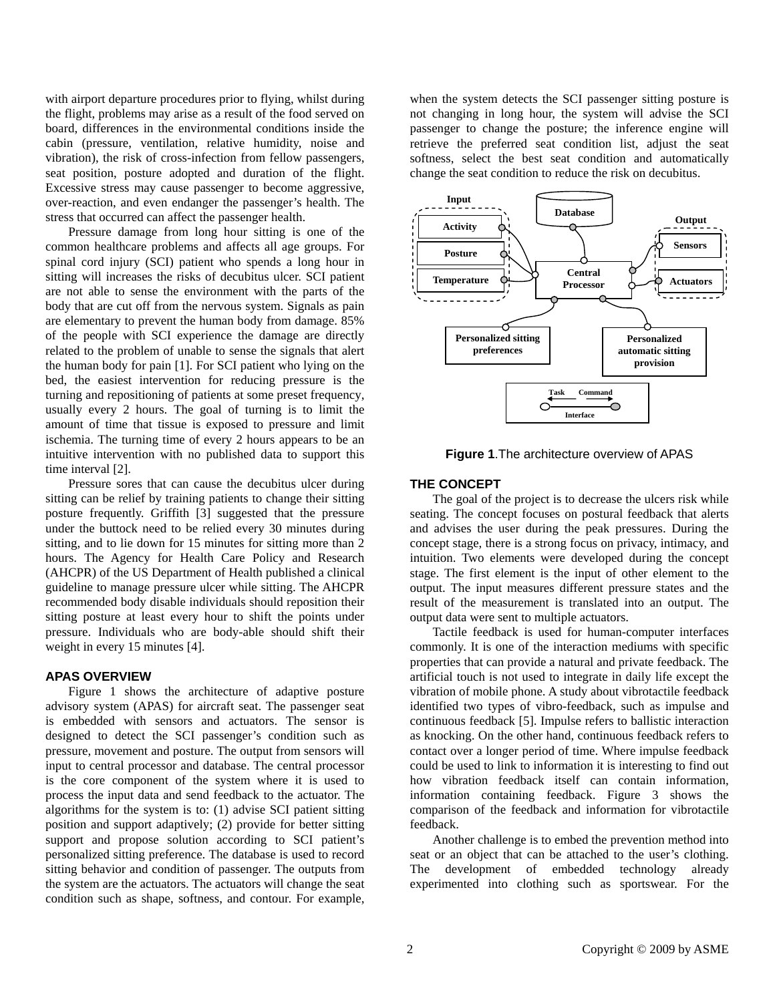with airport departure procedures prior to flying, whilst during the flight, problems may arise as a result of the food served on board, differences in the environmental conditions inside the cabin (pressure, ventilation, relative humidity, noise and vibration), the risk of cross-infection from fellow passengers, seat position, posture adopted and duration of the flight. Excessive stress may cause passenger to become aggressive, over-reaction, and even endanger the passenger's health. The stress that occurred can affect the passenger health.

Pressure damage from long hour sitting is one of the common healthcare problems and affects all age groups. For spinal cord injury (SCI) patient who spends a long hour in sitting will increases the risks of decubitus ulcer. SCI patient are not able to sense the environment with the parts of the body that are cut off from the nervous system. Signals as pain are elementary to prevent the human body from damage. 85% of the people with SCI experience the damage are directly related to the problem of unable to sense the signals that alert the human body for pain [1]. For SCI patient who lying on the bed, the easiest intervention for reducing pressure is the turning and repositioning of patients at some preset frequency, usually every 2 hours. The goal of turning is to limit the amount of time that tissue is exposed to pressure and limit ischemia. The turning time of every 2 hours appears to be an intuitive intervention with no published data to support this time interval [2].

Pressure sores that can cause the decubitus ulcer during sitting can be relief by training patients to change their sitting posture frequently. Griffith [3] suggested that the pressure under the buttock need to be relied every 30 minutes during sitting, and to lie down for 15 minutes for sitting more than 2 hours. The Agency for Health Care Policy and Research (AHCPR) of the US Department of Health published a clinical guideline to manage pressure ulcer while sitting. The AHCPR recommended body disable individuals should reposition their sitting posture at least every hour to shift the points under pressure. Individuals who are body-able should shift their weight in every 15 minutes [4].

# **APAS OVERVIEW**

Figure 1 shows the architecture of adaptive posture advisory system (APAS) for aircraft seat. The passenger seat is embedded with sensors and actuators. The sensor is designed to detect the SCI passenger's condition such as pressure, movement and posture. The output from sensors will input to central processor and database. The central processor is the core component of the system where it is used to process the input data and send feedback to the actuator. The algorithms for the system is to: (1) advise SCI patient sitting position and support adaptively; (2) provide for better sitting support and propose solution according to SCI patient's personalized sitting preference. The database is used to record sitting behavior and condition of passenger. The outputs from the system are the actuators. The actuators will change the seat condition such as shape, softness, and contour. For example,

when the system detects the SCI passenger sitting posture is not changing in long hour, the system will advise the SCI passenger to change the posture; the inference engine will retrieve the preferred seat condition list, adjust the seat softness, select the best seat condition and automatically change the seat condition to reduce the risk on decubitus.



**Figure 1**.The architecture overview of APAS

#### **THE CONCEPT**

The goal of the project is to decrease the ulcers risk while seating. The concept focuses on postural feedback that alerts and advises the user during the peak pressures. During the concept stage, there is a strong focus on privacy, intimacy, and intuition. Two elements were developed during the concept stage. The first element is the input of other element to the output. The input measures different pressure states and the result of the measurement is translated into an output. The output data were sent to multiple actuators.

Tactile feedback is used for human-computer interfaces commonly. It is one of the interaction mediums with specific properties that can provide a natural and private feedback. The artificial touch is not used to integrate in daily life except the vibration of mobile phone. A study about vibrotactile feedback identified two types of vibro-feedback, such as impulse and continuous feedback [5]. Impulse refers to ballistic interaction as knocking. On the other hand, continuous feedback refers to contact over a longer period of time. Where impulse feedback could be used to link to information it is interesting to find out how vibration feedback itself can contain information, information containing feedback. Figure 3 shows the comparison of the feedback and information for vibrotactile feedback.

Another challenge is to embed the prevention method into seat or an object that can be attached to the user's clothing. The development of embedded technology already experimented into clothing such as sportswear. For the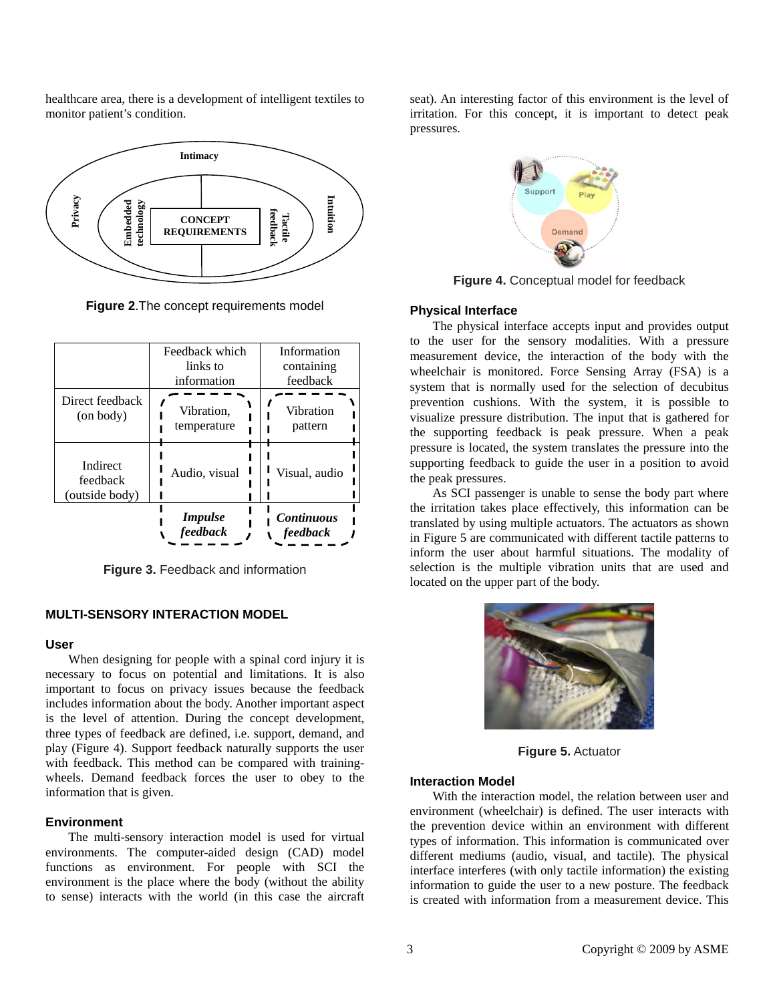healthcare area, there is a development of intelligent textiles to monitor patient's condition.



**Figure 2**.The concept requirements model

|                                        | Feedback which<br>links to<br>information | Information<br>containing<br>feedback |
|----------------------------------------|-------------------------------------------|---------------------------------------|
| Direct feedback<br>(on body)           | Vibration,<br>temperature                 | Vibration<br>pattern                  |
| Indirect<br>feedback<br>(outside body) | Audio, visual                             | Visual, audio                         |
|                                        | <b>Impulse</b><br>feedback                | <b>Continuous</b><br>feedback         |

**Figure 3.** Feedback and information

# **MULTI-SENSORY INTERACTION MODEL**

#### **User**

When designing for people with a spinal cord injury it is necessary to focus on potential and limitations. It is also important to focus on privacy issues because the feedback includes information about the body. Another important aspect is the level of attention. During the concept development, three types of feedback are defined, i.e. support, demand, and play (Figure 4). Support feedback naturally supports the user with feedback. This method can be compared with trainingwheels. Demand feedback forces the user to obey to the information that is given.

# **Environment**

The multi-sensory interaction model is used for virtual environments. The computer-aided design (CAD) model functions as environment. For people with SCI the environment is the place where the body (without the ability to sense) interacts with the world (in this case the aircraft

seat). An interesting factor of this environment is the level of irritation. For this concept, it is important to detect peak pressures.



**Figure 4.** Conceptual model for feedback

#### **Physical Interface**

The physical interface accepts input and provides output to the user for the sensory modalities. With a pressure measurement device, the interaction of the body with the wheelchair is monitored. Force Sensing Array (FSA) is a system that is normally used for the selection of decubitus prevention cushions. With the system, it is possible to visualize pressure distribution. The input that is gathered for the supporting feedback is peak pressure. When a peak pressure is located, the system translates the pressure into the supporting feedback to guide the user in a position to avoid the peak pressures.

As SCI passenger is unable to sense the body part where the irritation takes place effectively, this information can be translated by using multiple actuators. The actuators as shown in Figure 5 are communicated with different tactile patterns to inform the user about harmful situations. The modality of selection is the multiple vibration units that are used and located on the upper part of the body.



**Figure 5.** Actuator

#### **Interaction Model**

With the interaction model, the relation between user and environment (wheelchair) is defined. The user interacts with the prevention device within an environment with different types of information. This information is communicated over different mediums (audio, visual, and tactile). The physical interface interferes (with only tactile information) the existing information to guide the user to a new posture. The feedback is created with information from a measurement device. This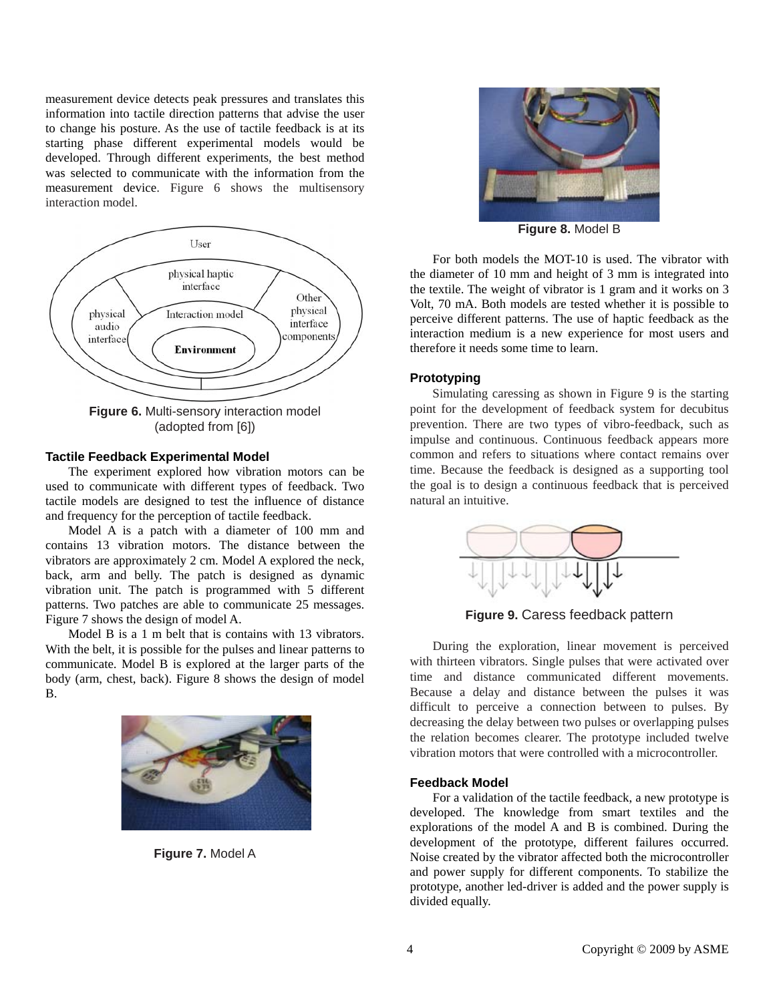measurement device detects peak pressures and translates this information into tactile direction patterns that advise the user to change his posture. As the use of tactile feedback is at its starting phase different experimental models would be developed. Through different experiments, the best method was selected to communicate with the information from the measurement device. Figure 6 shows the multisensory interaction model.



(adopted from [6])

# **Tactile Feedback Experimental Model**

The experiment explored how vibration motors can be used to communicate with different types of feedback. Two tactile models are designed to test the influence of distance and frequency for the perception of tactile feedback.

Model A is a patch with a diameter of 100 mm and contains 13 vibration motors. The distance between the vibrators are approximately 2 cm. Model A explored the neck, back, arm and belly. The patch is designed as dynamic vibration unit. The patch is programmed with 5 different patterns. Two patches are able to communicate 25 messages. Figure 7 shows the design of model A.

Model B is a 1 m belt that is contains with 13 vibrators. With the belt, it is possible for the pulses and linear patterns to communicate. Model B is explored at the larger parts of the body (arm, chest, back). Figure 8 shows the design of model B.



**Figure 7.** Model A



**Figure 8.** Model B

For both models the MOT-10 is used. The vibrator with the diameter of 10 mm and height of 3 mm is integrated into the textile. The weight of vibrator is 1 gram and it works on 3 Volt, 70 mA. Both models are tested whether it is possible to perceive different patterns. The use of haptic feedback as the interaction medium is a new experience for most users and therefore it needs some time to learn.

# **Prototyping**

Simulating caressing as shown in Figure 9 is the starting point for the development of feedback system for decubitus prevention. There are two types of vibro-feedback, such as impulse and continuous. Continuous feedback appears more common and refers to situations where contact remains over time. Because the feedback is designed as a supporting tool the goal is to design a continuous feedback that is perceived natural an intuitive.



**Figure 9.** Caress feedback pattern

During the exploration, linear movement is perceived with thirteen vibrators. Single pulses that were activated over time and distance communicated different movements. Because a delay and distance between the pulses it was difficult to perceive a connection between to pulses. By decreasing the delay between two pulses or overlapping pulses the relation becomes clearer. The prototype included twelve vibration motors that were controlled with a microcontroller.

#### **Feedback Model**

For a validation of the tactile feedback, a new prototype is developed. The knowledge from smart textiles and the explorations of the model A and B is combined. During the development of the prototype, different failures occurred. Noise created by the vibrator affected both the microcontroller and power supply for different components. To stabilize the prototype, another led-driver is added and the power supply is divided equally.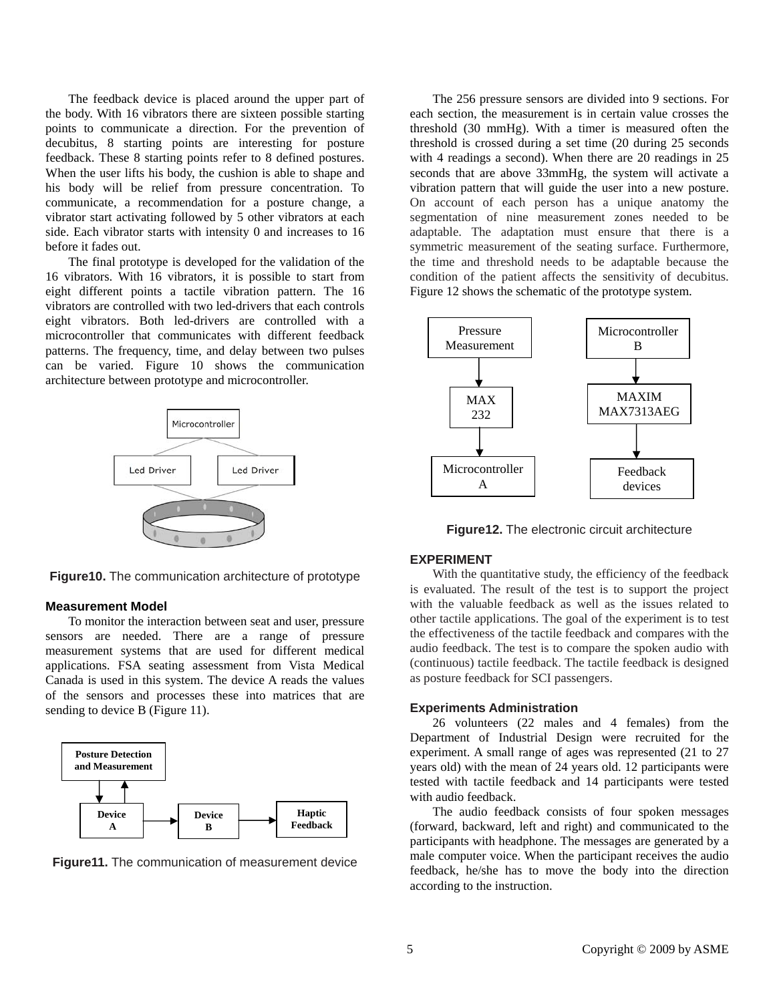The feedback device is placed around the upper part of the body. With 16 vibrators there are sixteen possible starting points to communicate a direction. For the prevention of decubitus, 8 starting points are interesting for posture feedback. These 8 starting points refer to 8 defined postures. When the user lifts his body, the cushion is able to shape and his body will be relief from pressure concentration. To communicate, a recommendation for a posture change, a vibrator start activating followed by 5 other vibrators at each side. Each vibrator starts with intensity 0 and increases to 16 before it fades out.

The final prototype is developed for the validation of the 16 vibrators. With 16 vibrators, it is possible to start from eight different points a tactile vibration pattern. The 16 vibrators are controlled with two led-drivers that each controls eight vibrators. Both led-drivers are controlled with a microcontroller that communicates with different feedback patterns. The frequency, time, and delay between two pulses can be varied. Figure 10 shows the communication architecture between prototype and microcontroller.



**Figure10.** The communication architecture of prototype

#### **Measurement Model**

To monitor the interaction between seat and user, pressure sensors are needed. There are a range of pressure measurement systems that are used for different medical applications. FSA seating assessment from Vista Medical Canada is used in this system. The device A reads the values of the sensors and processes these into matrices that are sending to device B (Figure 11).





The 256 pressure sensors are divided into 9 sections. For each section, the measurement is in certain value crosses the threshold (30 mmHg). With a timer is measured often the threshold is crossed during a set time (20 during 25 seconds with 4 readings a second). When there are 20 readings in 25 seconds that are above 33mmHg, the system will activate a vibration pattern that will guide the user into a new posture. On account of each person has a unique anatomy the segmentation of nine measurement zones needed to be adaptable. The adaptation must ensure that there is a symmetric measurement of the seating surface. Furthermore, the time and threshold needs to be adaptable because the condition of the patient affects the sensitivity of decubitus. Figure 12 shows the schematic of the prototype system.



**Figure12.** The electronic circuit architecture

## **EXPERIMENT**

With the quantitative study, the efficiency of the feedback is evaluated. The result of the test is to support the project with the valuable feedback as well as the issues related to other tactile applications. The goal of the experiment is to test the effectiveness of the tactile feedback and compares with the audio feedback. The test is to compare the spoken audio with (continuous) tactile feedback. The tactile feedback is designed as posture feedback for SCI passengers.

#### **Experiments Administration**

26 volunteers (22 males and 4 females) from the Department of Industrial Design were recruited for the experiment. A small range of ages was represented (21 to 27 years old) with the mean of 24 years old. 12 participants were tested with tactile feedback and 14 participants were tested with audio feedback.

The audio feedback consists of four spoken messages (forward, backward, left and right) and communicated to the participants with headphone. The messages are generated by a male computer voice. When the participant receives the audio feedback, he/she has to move the body into the direction according to the instruction.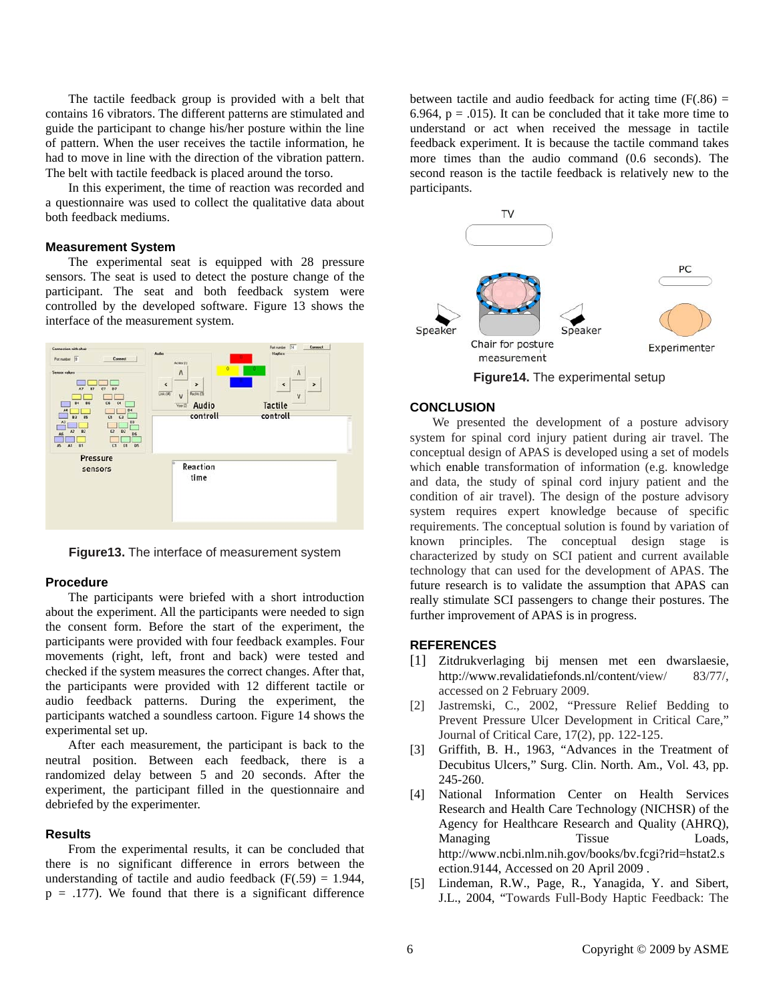The tactile feedback group is provided with a belt that contains 16 vibrators. The different patterns are stimulated and guide the participant to change his/her posture within the line of pattern. When the user receives the tactile information, he had to move in line with the direction of the vibration pattern. The belt with tactile feedback is placed around the torso.

In this experiment, the time of reaction was recorded and a questionnaire was used to collect the qualitative data about both feedback mediums.

#### **Measurement System**

The experimental seat is equipped with 28 pressure sensors. The seat is used to detect the posture change of the participant. The seat and both feedback system were controlled by the developed software. Figure 13 shows the interface of the measurement system.



**Figure13.** The interface of measurement system

#### **Procedure**

The participants were briefed with a short introduction about the experiment. All the participants were needed to sign the consent form. Before the start of the experiment, the participants were provided with four feedback examples. Four movements (right, left, front and back) were tested and checked if the system measures the correct changes. After that, the participants were provided with 12 different tactile or audio feedback patterns. During the experiment, the participants watched a soundless cartoon. Figure 14 shows the experimental set up.

After each measurement, the participant is back to the neutral position. Between each feedback, there is a randomized delay between 5 and 20 seconds. After the experiment, the participant filled in the questionnaire and debriefed by the experimenter.

### **Results**

From the experimental results, it can be concluded that there is no significant difference in errors between the understanding of tactile and audio feedback  $(F(.59) = 1.944$ ,  $p = .177$ ). We found that there is a significant difference

between tactile and audio feedback for acting time  $(F(.86) =$ 6.964,  $p = .015$ ). It can be concluded that it take more time to understand or act when received the message in tactile feedback experiment. It is because the tactile command takes more times than the audio command (0.6 seconds). The second reason is the tactile feedback is relatively new to the participants.



**Figure14.** The experimental setup

#### **CONCLUSION**

We presented the development of a posture advisory system for spinal cord injury patient during air travel. The conceptual design of APAS is developed using a set of models which enable transformation of information (e.g. knowledge and data, the study of spinal cord injury patient and the condition of air travel). The design of the posture advisory system requires expert knowledge because of specific requirements. The conceptual solution is found by variation of known principles. The conceptual design stage is characterized by study on SCI patient and current available technology that can used for the development of APAS. The future research is to validate the assumption that APAS can really stimulate SCI passengers to change their postures. The further improvement of APAS is in progress.

# **REFERENCES**

- [1] Zitdrukverlaging bij mensen met een dwarslaesie, http://www.revalidatiefonds.nl/content/view/ 83/77/, accessed on 2 February 2009.
- [2] Jastremski, C., 2002, "Pressure Relief Bedding to Prevent Pressure Ulcer Development in Critical Care," Journal of Critical Care, 17(2), pp. 122-125.
- [3] Griffith, B. H., 1963, "Advances in the Treatment of Decubitus Ulcers," Surg. Clin. North. Am., Vol. 43, pp. 245-260.
- [4] National Information Center on Health Services Research and Health Care Technology (NICHSR) of the Agency for Healthcare Research and Quality (AHRQ), Managing Tissue Loads, http://www.ncbi.nlm.nih.gov/books/bv.fcgi?rid=hstat2.s ection.9144, Accessed on 20 April 2009 .
- [5] Lindeman, R.W., Page, R., Yanagida, Y. and Sibert, J.L., 2004, "Towards Full-Body Haptic Feedback: The